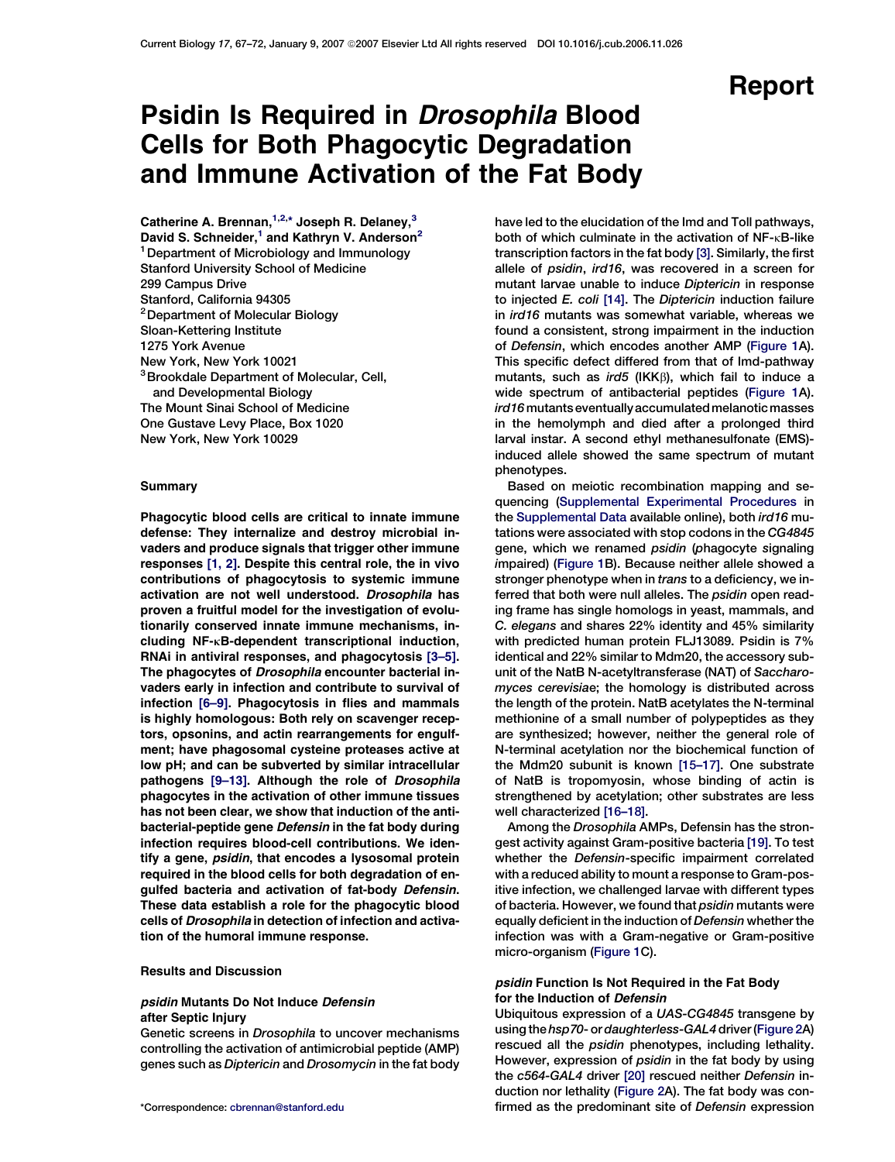# Report

# Psidin Is Required in Drosophila Blood Cells for Both Phagocytic Degradation and Immune Activation of the Fat Body

Catherine A. Brennan, $^{1,2,*}$  Joseph R. Delaney, $^3$ David S. Schneider,<sup>1</sup> and Kathryn V. Anderson<sup>2</sup> <sup>1</sup> Department of Microbiology and Immunology Stanford University School of Medicine 299 Campus Drive Stanford, California 94305 <sup>2</sup> Department of Molecular Biology Sloan-Kettering Institute 1275 York Avenue New York, New York 10021 3Brookdale Department of Molecular, Cell, and Developmental Biology The Mount Sinai School of Medicine One Gustave Levy Place, Box 1020 New York, New York 10029

### Summary

Phagocytic blood cells are critical to innate immune defense: They internalize and destroy microbial invaders and produce signals that trigger other immune responses [\[1, 2\].](#page-4-0) Despite this central role, the in vivo contributions of phagocytosis to systemic immune activation are not well understood. Drosophila has proven a fruitful model for the investigation of evolutionarily conserved innate immune mechanisms, including NF-kB-dependent transcriptional induction, RNAi in antiviral responses, and phagocytosis [\[3–5\].](#page-4-0) The phagocytes of Drosophila encounter bacterial invaders early in infection and contribute to survival of infection [\[6–9\].](#page-4-0) Phagocytosis in flies and mammals is highly homologous: Both rely on scavenger receptors, opsonins, and actin rearrangements for engulfment; have phagosomal cysteine proteases active at low pH; and can be subverted by similar intracellular pathogens [9-13]. Although the role of Drosophila phagocytes in the activation of other immune tissues has not been clear, we show that induction of the antibacterial-peptide gene Defensin in the fat body during infection requires blood-cell contributions. We identify a gene, psidin, that encodes a lysosomal protein required in the blood cells for both degradation of engulfed bacteria and activation of fat-body Defensin. These data establish a role for the phagocytic blood cells of Drosophila in detection of infection and activation of the humoral immune response.

### Results and Discussion

### psidin Mutants Do Not Induce Defensin after Septic Injury

Genetic screens in Drosophila to uncover mechanisms controlling the activation of antimicrobial peptide (AMP) genes such as Diptericin and Drosomycin in the fat body

have led to the elucidation of the Imd and Toll pathways, both of which culminate in the activation of  $NF$ - $\kappa$ B-like transcription factors in the fat body [\[3\].](#page-4-0) Similarly, the first allele of psidin, ird16, was recovered in a screen for mutant larvae unable to induce Diptericin in response to injected E. coli [\[14\]](#page-4-0). The Diptericin induction failure in ird16 mutants was somewhat variable, whereas we found a consistent, strong impairment in the induction of Defensin, which encodes another AMP ([Figure 1A](#page-1-0)). This specific defect differed from that of Imd-pathway mutants, such as ird5 (IKK $\beta$ ), which fail to induce a wide spectrum of antibacterial peptides ([Figure 1A](#page-1-0)). ird16 mutants eventually accumulated melanotic masses in the hemolymph and died after a prolonged third larval instar. A second ethyl methanesulfonate (EMS) induced allele showed the same spectrum of mutant phenotypes.

Based on meiotic recombination mapping and sequencing [\(Supplemental Experimental Procedures](#page-4-0) in the [Supplemental Data](#page-4-0) available online), both ird16 mutations were associated with stop codons in the CG4845 gene, which we renamed psidin (phagocyte signaling impaired) ([Figure 1B](#page-1-0)). Because neither allele showed a stronger phenotype when in trans to a deficiency, we inferred that both were null alleles. The psidin open reading frame has single homologs in yeast, mammals, and C. elegans and shares 22% identity and 45% similarity with predicted human protein FLJ13089. Psidin is 7% identical and 22% similar to Mdm20, the accessory subunit of the NatB N-acetyltransferase (NAT) of Saccharomyces cerevisiae; the homology is distributed across the length of the protein. NatB acetylates the N-terminal methionine of a small number of polypeptides as they are synthesized; however, neither the general role of N-terminal acetylation nor the biochemical function of the Mdm20 subunit is known [\[15–17\].](#page-4-0) One substrate of NatB is tropomyosin, whose binding of actin is strengthened by acetylation; other substrates are less well characterized [\[16–18\].](#page-4-0)

Among the Drosophila AMPs, Defensin has the strongest activity against Gram-positive bacteria [\[19\]](#page-4-0). To test whether the Defensin-specific impairment correlated with a reduced ability to mount a response to Gram-positive infection, we challenged larvae with different types of bacteria. However, we found that psidin mutants were equally deficient in the induction of Defensin whether the infection was with a Gram-negative or Gram-positive micro-organism [\(Figure 1](#page-1-0)C).

## psidin Function Is Not Required in the Fat Body for the Induction of Defensin

Ubiquitous expression of a UAS-CG4845 transgene by using the hsp70- or daughterless-GAL4 driver [\(Figure 2A](#page-2-0)) rescued all the psidin phenotypes, including lethality. However, expression of *psidin* in the fat body by using the c564-GAL4 driver [\[20\]](#page-4-0) rescued neither Defensin induction nor lethality [\(Figure 2](#page-2-0)A). The fat body was con- \*Correspondence: [cbrennan@stanford.edu](mailto:cbrennan@stanford.edu) firmed as the predominant site of Defensin expression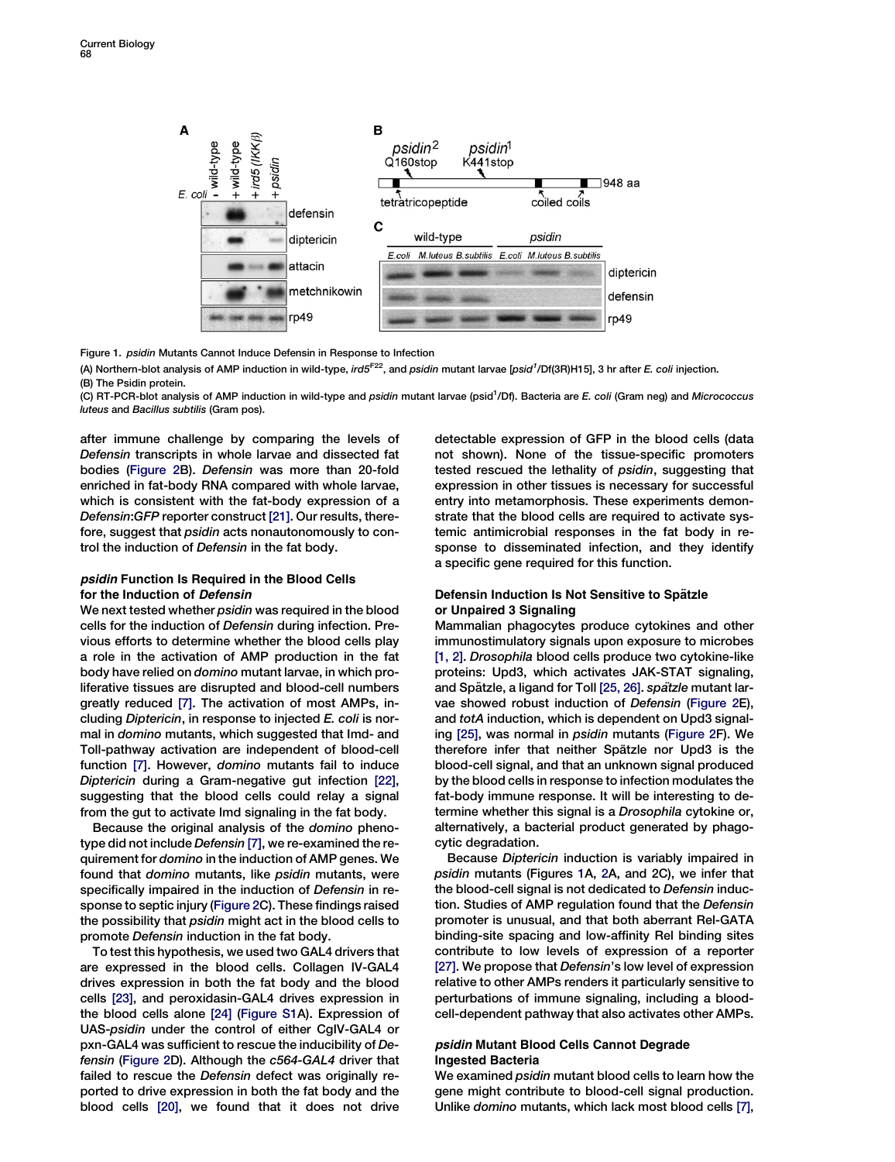<span id="page-1-0"></span>

Figure 1. psidin Mutants Cannot Induce Defensin in Response to Infection

(A) Northern-blot analysis of AMP induction in wild-type, ird5<sup>F22</sup>, and *psidin* mutant larvae [psid<sup>1</sup>/Df(3R)H15], 3 hr after *E. coli* injection. (B) The Psidin protein.

(C) RT-PCR-blot analysis of AMP induction in wild-type and *psidin* mutant larvae (psid<sup>1</sup>/Df). Bacteria are E. coli (Gram neg) and Micrococcus luteus and Bacillus subtilis (Gram pos).

after immune challenge by comparing the levels of Defensin transcripts in whole larvae and dissected fat bodies [\(Figure 2](#page-2-0)B). Defensin was more than 20-fold enriched in fat-body RNA compared with whole larvae, which is consistent with the fat-body expression of a Defensin:GFP reporter construct [\[21\].](#page-4-0) Our results, therefore, suggest that *psidin* acts nonautonomously to control the induction of Defensin in the fat body.

# psidin Function Is Required in the Blood Cells for the Induction of Defensin

We next tested whether psidin was required in the blood cells for the induction of Defensin during infection. Previous efforts to determine whether the blood cells play a role in the activation of AMP production in the fat body have relied on domino mutant larvae, in which proliferative tissues are disrupted and blood-cell numbers greatly reduced [\[7\].](#page-4-0) The activation of most AMPs, including Diptericin, in response to injected E. coli is normal in domino mutants, which suggested that Imd- and Toll-pathway activation are independent of blood-cell function [\[7\]](#page-4-0). However, domino mutants fail to induce Diptericin during a Gram-negative gut infection [\[22\],](#page-4-0) suggesting that the blood cells could relay a signal from the gut to activate Imd signaling in the fat body.

Because the original analysis of the domino phenotype did not include Defensin [\[7\],](#page-4-0) we re-examined the requirement for domino in the induction of AMP genes. We found that domino mutants, like psidin mutants, were specifically impaired in the induction of Defensin in response to septic injury [\(Figure 2C](#page-2-0)). These findings raised the possibility that psidin might act in the blood cells to promote Defensin induction in the fat body.

To test this hypothesis, we used two GAL4 drivers that are expressed in the blood cells. Collagen IV-GAL4 drives expression in both the fat body and the blood cells [\[23\],](#page-5-0) and peroxidasin-GAL4 drives expression in the blood cells alone [\[24\]](#page-5-0) [\(Figure S1A](#page-4-0)). Expression of UAS-psidin under the control of either CgIV-GAL4 or pxn-GAL4 was sufficient to rescue the inducibility of Defensin ([Figure 2D](#page-2-0)). Although the c564-GAL4 driver that failed to rescue the Defensin defect was originally reported to drive expression in both the fat body and the blood cells [\[20\]](#page-4-0), we found that it does not drive

detectable expression of GFP in the blood cells (data not shown). None of the tissue-specific promoters tested rescued the lethality of psidin, suggesting that expression in other tissues is necessary for successful entry into metamorphosis. These experiments demonstrate that the blood cells are required to activate systemic antimicrobial responses in the fat body in response to disseminated infection, and they identify a specific gene required for this function.

# Defensin Induction Is Not Sensitive to Spätzle or Unpaired 3 Signaling

Mammalian phagocytes produce cytokines and other immunostimulatory signals upon exposure to microbes [\[1, 2\]](#page-4-0). Drosophila blood cells produce two cytokine-like proteins: Upd3, which activates JAK-STAT signaling, and Spätzle, a ligand for Toll [\[25, 26\]](#page-5-0). spatzle mutant larvae showed robust induction of Defensin [\(Figure 2](#page-2-0)E), and totA induction, which is dependent on Upd3 signaling [\[25\]](#page-5-0), was normal in psidin mutants [\(Figure 2F](#page-2-0)). We therefore infer that neither Spätzle nor Upd3 is the blood-cell signal, and that an unknown signal produced by the blood cells in response to infection modulates the fat-body immune response. It will be interesting to determine whether this signal is a Drosophila cytokine or, alternatively, a bacterial product generated by phagocytic degradation.

Because Diptericin induction is variably impaired in psidin mutants (Figures 1A, [2](#page-2-0)A, and 2C), we infer that the blood-cell signal is not dedicated to Defensin induction. Studies of AMP regulation found that the Defensin promoter is unusual, and that both aberrant Rel-GATA binding-site spacing and low-affinity Rel binding sites contribute to low levels of expression of a reporter [\[27\]](#page-5-0). We propose that Defensin's low level of expression relative to other AMPs renders it particularly sensitive to perturbations of immune signaling, including a bloodcell-dependent pathway that also activates other AMPs.

## psidin Mutant Blood Cells Cannot Degrade Ingested Bacteria

We examined psidin mutant blood cells to learn how the gene might contribute to blood-cell signal production. Unlike domino mutants, which lack most blood cells [\[7\],](#page-4-0)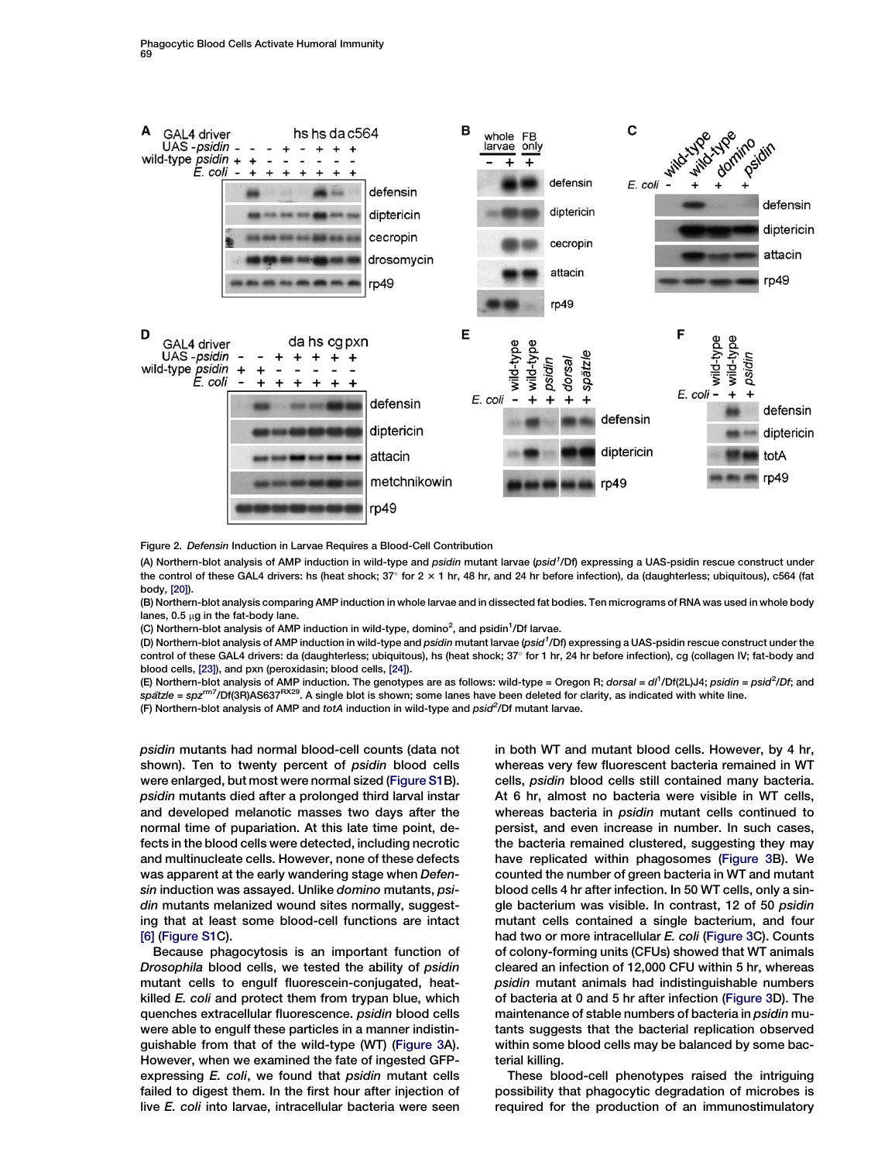<span id="page-2-0"></span>

Figure 2. Defensin Induction in Larvae Requires a Blood-Cell Contribution

(A) Northern-blot analysis of AMP induction in wild-type and *psidin* mutant larvae (psid<sup>1</sup>/Df) expressing a UAS-psidin rescue construct under the control of these GAL4 drivers: hs (heat shock; 37° for 2 × 1 hr, 48 hr, and 24 hr before infection), da (daughterless; ubiquitous), c564 (fat body, [\[20\]\)](#page-4-0).

(B) Northern-blot analysis comparing AMP induction in whole larvae and in dissected fat bodies. Ten micrograms of RNA was used in whole body lanes,  $0.5 \mu$ g in the fat-body lane.

(C) Northern-blot analysis of AMP induction in wild-type, domino<sup>2</sup>, and psidin<sup>1</sup>/Df larvae.

(D) Northern-blot analysis of AMP induction in wild-type and *psidin* mutant larvae (psid<sup>1</sup>/Df) expressing a UAS-psidin rescue construct under the control of these GAL4 drivers: da (daughterless; ubiquitous), hs (heat shock; 37° for 1 hr, 24 hr before infection), cg (collagen IV; fat-body and blood cells, [\[23\]\)](#page-5-0), and pxn (peroxidasin; blood cells, [\[24\]](#page-5-0)).

(E) Northern-blot analysis of AMP induction. The genotypes are as follows: wild-type = Oregon R; *dorsal* = dl<sup>1</sup>/Df(2L)J4; *psidin = psid<sup>2</sup>/Df;* and spatzle = spz<sup>rm7</sup>/Df(3R)AS637<sup>RX29</sup>. A single blot is shown; some lanes have been deleted for clarity, as indicated with white line.

(F) Northern-blot analysis of AMP and totA induction in wild-type and psid<sup>2</sup>/Df mutant larvae.

psidin mutants had normal blood-cell counts (data not shown). Ten to twenty percent of psidin blood cells were enlarged, but most were normal sized ([Figure S1](#page-4-0)B). psidin mutants died after a prolonged third larval instar and developed melanotic masses two days after the normal time of pupariation. At this late time point, defects in the blood cells were detected, including necrotic and multinucleate cells. However, none of these defects was apparent at the early wandering stage when Defensin induction was assayed. Unlike domino mutants, psidin mutants melanized wound sites normally, suggesting that at least some blood-cell functions are intact [\[6\]](#page-4-0) [\(Figure S1](#page-4-0)C).

Because phagocytosis is an important function of Drosophila blood cells, we tested the ability of psidin mutant cells to engulf fluorescein-conjugated, heatkilled E. coli and protect them from trypan blue, which quenches extracellular fluorescence. psidin blood cells were able to engulf these particles in a manner indistinguishable from that of the wild-type (WT) ([Figure 3](#page-3-0)A). However, when we examined the fate of ingested GFPexpressing E. coli, we found that psidin mutant cells failed to digest them. In the first hour after injection of live E. coli into larvae, intracellular bacteria were seen in both WT and mutant blood cells. However, by 4 hr, whereas very few fluorescent bacteria remained in WT cells, psidin blood cells still contained many bacteria. At 6 hr, almost no bacteria were visible in WT cells, whereas bacteria in psidin mutant cells continued to persist, and even increase in number. In such cases, the bacteria remained clustered, suggesting they may have replicated within phagosomes ([Figure 3B](#page-3-0)). We counted the number of green bacteria in WT and mutant blood cells 4 hr after infection. In 50 WT cells, only a single bacterium was visible. In contrast, 12 of 50 psidin mutant cells contained a single bacterium, and four had two or more intracellular E. coli [\(Figure 3C](#page-3-0)). Counts of colony-forming units (CFUs) showed that WT animals cleared an infection of 12,000 CFU within 5 hr, whereas psidin mutant animals had indistinguishable numbers of bacteria at 0 and 5 hr after infection [\(Figure 3](#page-3-0)D). The maintenance of stable numbers of bacteria in psidin mutants suggests that the bacterial replication observed within some blood cells may be balanced by some bacterial killing.

These blood-cell phenotypes raised the intriguing possibility that phagocytic degradation of microbes is required for the production of an immunostimulatory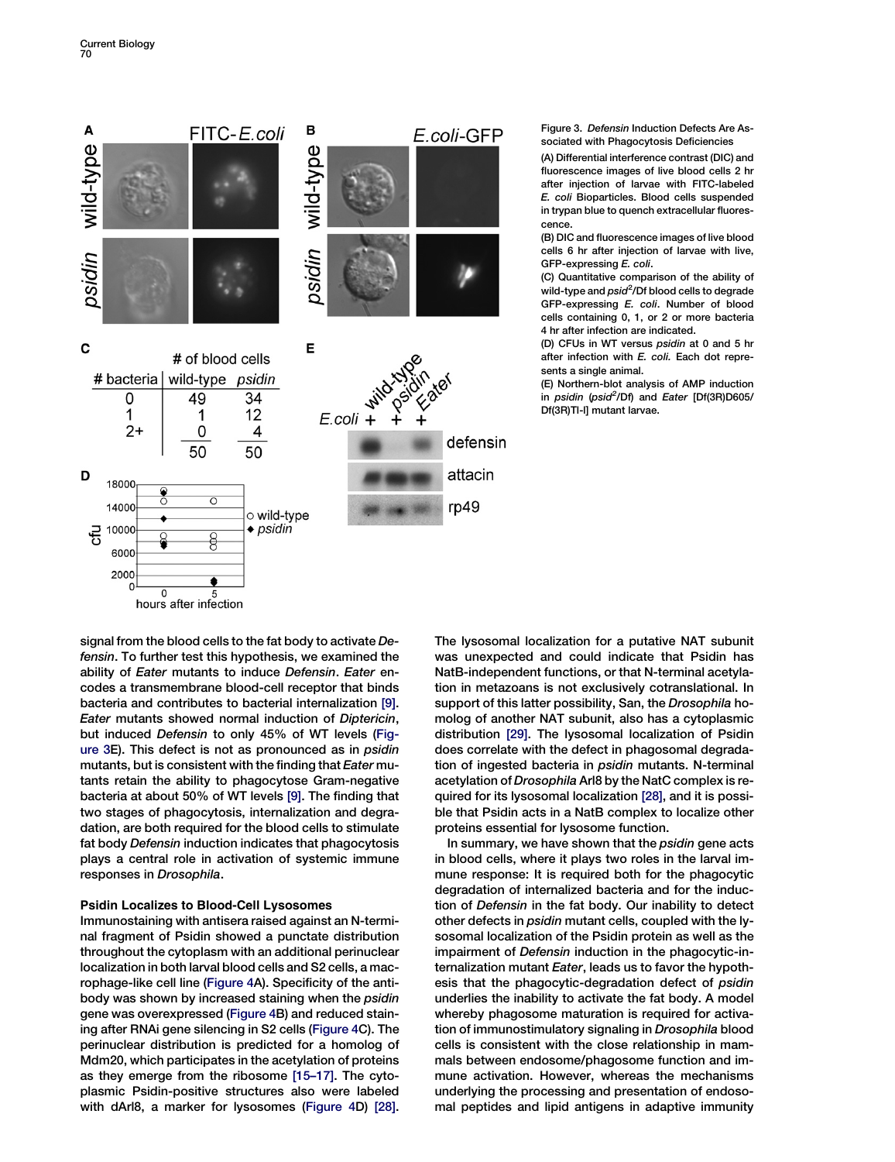<span id="page-3-0"></span>

Figure 3. Defensin Induction Defects Are Associated with Phagocytosis Deficiencies

(A) Differential interference contrast (DIC) and fluorescence images of live blood cells 2 hr after injection of larvae with FITC-labeled E. coli Bioparticles. Blood cells suspended in trypan blue to quench extracellular fluorescence.

(B) DIC and fluorescence images of live blood cells 6 hr after injection of larvae with live, GFP-expressing E. coli.

(C) Quantitative comparison of the ability of wild-type and *psid<sup>2</sup>*/Df blood cells to degrade GFP-expressing E. coli. Number of blood cells containing 0, 1, or 2 or more bacteria 4 hr after infection are indicated.

(D) CFUs in WT versus psidin at 0 and 5 hr after infection with E. coli. Each dot represents a single animal.

(E) Northern-blot analysis of AMP induction in psidin (psid<sup>2</sup>/Df) and Eater [Df(3R)D605/ Df(3R)Tl-l] mutant larvae.

signal from the blood cells to the fat body to activate Defensin. To further test this hypothesis, we examined the ability of Eater mutants to induce Defensin. Eater encodes a transmembrane blood-cell receptor that binds bacteria and contributes to bacterial internalization [\[9\].](#page-4-0) Eater mutants showed normal induction of Diptericin, but induced Defensin to only 45% of WT levels (Figure 3E). This defect is not as pronounced as in psidin mutants, but is consistent with the finding that Eater mutants retain the ability to phagocytose Gram-negative bacteria at about 50% of WT levels [\[9\]](#page-4-0). The finding that two stages of phagocytosis, internalization and degradation, are both required for the blood cells to stimulate fat body Defensin induction indicates that phagocytosis plays a central role in activation of systemic immune responses in Drosophila.

## Psidin Localizes to Blood-Cell Lysosomes

Immunostaining with antisera raised against an N-terminal fragment of Psidin showed a punctate distribution throughout the cytoplasm with an additional perinuclear localization in both larval blood cells and S2 cells, a macrophage-like cell line [\(Figure 4](#page-4-0)A). Specificity of the antibody was shown by increased staining when the psidin gene was overexpressed ([Figure 4](#page-4-0)B) and reduced staining after RNAi gene silencing in S2 cells ([Figure 4C](#page-4-0)). The perinuclear distribution is predicted for a homolog of Mdm20, which participates in the acetylation of proteins as they emerge from the ribosome [\[15–17\]](#page-4-0). The cytoplasmic Psidin-positive structures also were labeled with dArl8, a marker for lysosomes [\(Figure 4D](#page-4-0)) [\[28\].](#page-5-0)

The lysosomal localization for a putative NAT subunit was unexpected and could indicate that Psidin has NatB-independent functions, or that N-terminal acetylation in metazoans is not exclusively cotranslational. In support of this latter possibility, San, the Drosophila homolog of another NAT subunit, also has a cytoplasmic distribution [\[29\].](#page-5-0) The lysosomal localization of Psidin does correlate with the defect in phagosomal degradation of ingested bacteria in psidin mutants. N-terminal acetylation of Drosophila Arl8 by the NatC complex is required for its lysosomal localization [\[28\],](#page-5-0) and it is possible that Psidin acts in a NatB complex to localize other proteins essential for lysosome function.

In summary, we have shown that the *psidin* gene acts in blood cells, where it plays two roles in the larval immune response: It is required both for the phagocytic degradation of internalized bacteria and for the induction of Defensin in the fat body. Our inability to detect other defects in psidin mutant cells, coupled with the lysosomal localization of the Psidin protein as well as the impairment of Defensin induction in the phagocytic-internalization mutant Eater, leads us to favor the hypothesis that the phagocytic-degradation defect of psidin underlies the inability to activate the fat body. A model whereby phagosome maturation is required for activation of immunostimulatory signaling in Drosophila blood cells is consistent with the close relationship in mammals between endosome/phagosome function and immune activation. However, whereas the mechanisms underlying the processing and presentation of endosomal peptides and lipid antigens in adaptive immunity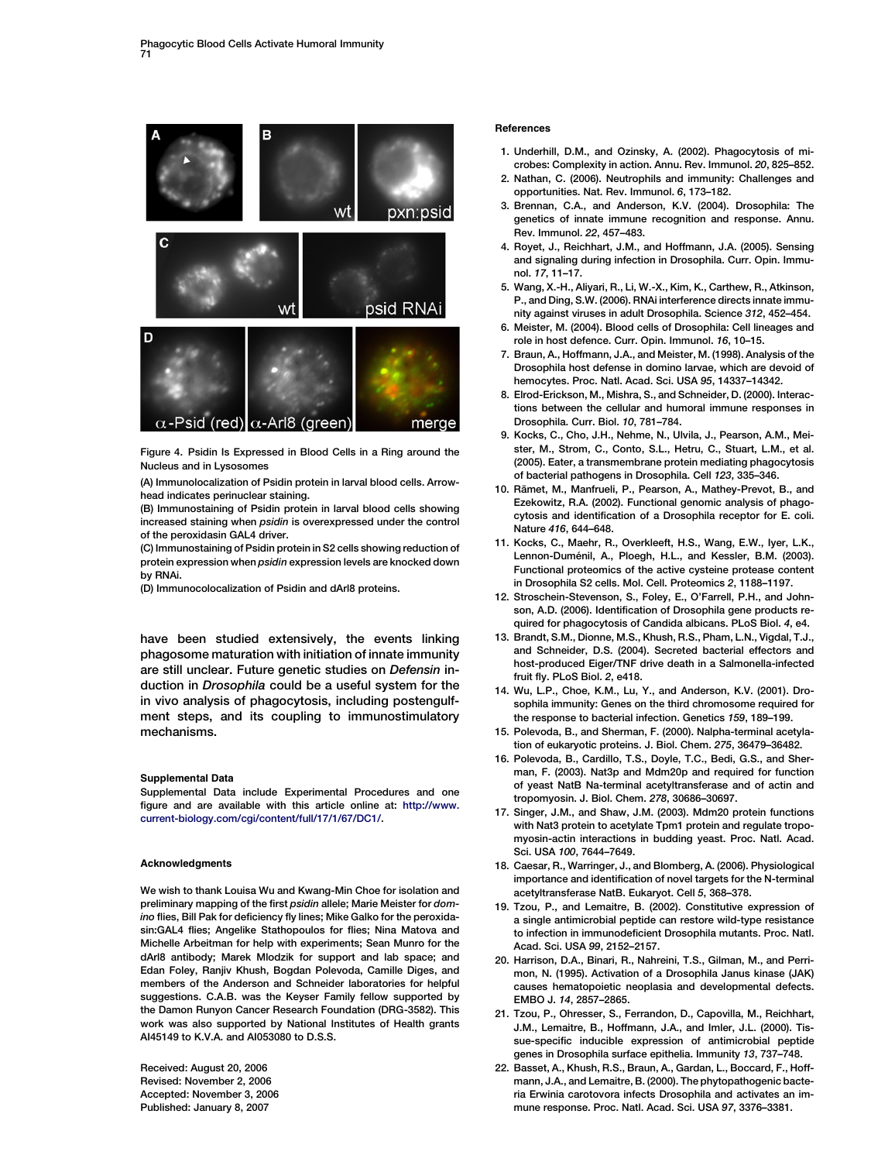<span id="page-4-0"></span>

Figure 4. Psidin Is Expressed in Blood Cells in a Ring around the Nucleus and in Lysosomes

(A) Immunolocalization of Psidin protein in larval blood cells. Arrowhead indicates perinuclear staining.

(B) Immunostaining of Psidin protein in larval blood cells showing increased staining when psidin is overexpressed under the control of the peroxidasin GAL4 driver.

(C) Immunostaining of Psidin protein in S2 cells showing reduction of protein expression when psidin expression levels are knocked down by RNAi.

(D) Immunocolocalization of Psidin and dArl8 proteins.

have been studied extensively, the events linking phagosome maturation with initiation of innate immunity are still unclear. Future genetic studies on Defensin induction in Drosophila could be a useful system for the in vivo analysis of phagocytosis, including postengulfment steps, and its coupling to immunostimulatory mechanisms.

### Supplemental Data

Supplemental Data include Experimental Procedures and one figure and are available with this article online at: [http://www.](http://www.current-biology.com/cgi/content/full/17/1/67/DC1/) [current-biology.com/cgi/content/full/17/1/67/DC1/.](http://www.current-biology.com/cgi/content/full/17/1/67/DC1/)

### Acknowledgments

We wish to thank Louisa Wu and Kwang-Min Choe for isolation and preliminary mapping of the first psidin allele; Marie Meister for domino flies, Bill Pak for deficiency fly lines; Mike Galko for the peroxidasin:GAL4 flies; Angelike Stathopoulos for flies; Nina Matova and Michelle Arbeitman for help with experiments; Sean Munro for the dArl8 antibody; Marek Mlodzik for support and lab space; and Edan Foley, Ranjiv Khush, Bogdan Polevoda, Camille Diges, and members of the Anderson and Schneider laboratories for helpful suggestions. C.A.B. was the Keyser Family fellow supported by the Damon Runyon Cancer Research Foundation (DRG-3582). This work was also supported by National Institutes of Health grants AI45149 to K.V.A. and AI053080 to D.S.S.

Received: August 20, 2006 Revised: November 2, 2006 Accepted: November 3, 2006 Published: January 8, 2007

### References

- 1. Underhill, D.M., and Ozinsky, A. (2002). Phagocytosis of microbes: Complexity in action. Annu. Rev. Immunol. 20, 825–852.
- 2. Nathan, C. (2006). Neutrophils and immunity: Challenges and opportunities. Nat. Rev. Immunol. 6, 173–182.
- 3. Brennan, C.A., and Anderson, K.V. (2004). Drosophila: The genetics of innate immune recognition and response. Annu. Rev. Immunol. 22, 457–483.
- 4. Royet, J., Reichhart, J.M., and Hoffmann, J.A. (2005). Sensing and signaling during infection in Drosophila. Curr. Opin. Immunol. 17, 11–17.
- 5. Wang, X.-H., Aliyari, R., Li, W.-X., Kim, K., Carthew, R., Atkinson, P., and Ding, S.W. (2006). RNAi interference directs innate immunity against viruses in adult Drosophila. Science 312, 452–454.
- 6. Meister, M. (2004). Blood cells of Drosophila: Cell lineages and role in host defence. Curr. Opin. Immunol. 16, 10–15.
- 7. Braun, A., Hoffmann, J.A., and Meister, M. (1998). Analysis of the Drosophila host defense in domino larvae, which are devoid of hemocytes. Proc. Natl. Acad. Sci. USA 95, 14337–14342.
- 8. Elrod-Erickson, M., Mishra, S., and Schneider, D. (2000). Interactions between the cellular and humoral immune responses in Drosophila. Curr. Biol. 10, 781–784.
- 9. Kocks, C., Cho, J.H., Nehme, N., Ulvila, J., Pearson, A.M., Meister, M., Strom, C., Conto, S.L., Hetru, C., Stuart, L.M., et al. (2005). Eater, a transmembrane protein mediating phagocytosis of bacterial pathogens in Drosophila. Cell 123, 335–346.
- 10. Rämet, M., Manfrueli, P., Pearson, A., Mathey-Prevot, B., and Ezekowitz, R.A. (2002). Functional genomic analysis of phagocytosis and identification of a Drosophila receptor for E. coli. Nature 416, 644–648.
- 11. Kocks, C., Maehr, R., Overkleeft, H.S., Wang, E.W., Iyer, L.K., Lennon-Duménil, A., Ploegh, H.L., and Kessler, B.M. (2003). Functional proteomics of the active cysteine protease content in Drosophila S2 cells. Mol. Cell. Proteomics 2, 1188–1197.
- 12. Stroschein-Stevenson, S., Foley, E., O'Farrell, P.H., and Johnson, A.D. (2006). Identification of Drosophila gene products required for phagocytosis of Candida albicans. PLoS Biol. 4, e4.
- 13. Brandt, S.M., Dionne, M.S., Khush, R.S., Pham, L.N., Vigdal, T.J., and Schneider, D.S. (2004). Secreted bacterial effectors and host-produced Eiger/TNF drive death in a Salmonella-infected fruit fly. PLoS Biol. 2, e418.
- 14. Wu, L.P., Choe, K.M., Lu, Y., and Anderson, K.V. (2001). Drosophila immunity: Genes on the third chromosome required for the response to bacterial infection. Genetics 159, 189–199.
- 15. Polevoda, B., and Sherman, F. (2000). Nalpha-terminal acetylation of eukaryotic proteins. J. Biol. Chem. 275, 36479–36482.
- 16. Polevoda, B., Cardillo, T.S., Doyle, T.C., Bedi, G.S., and Sherman, F. (2003). Nat3p and Mdm20p and required for function of yeast NatB Na-terminal acetyltransferase and of actin and tropomyosin. J. Biol. Chem. 278, 30686–30697.
- 17. Singer, J.M., and Shaw, J.M. (2003). Mdm20 protein functions with Nat3 protein to acetylate Tpm1 protein and regulate tropomyosin-actin interactions in budding yeast. Proc. Natl. Acad. Sci. USA 100, 7644–7649.
- 18. Caesar, R., Warringer, J., and Blomberg, A. (2006). Physiological importance and identification of novel targets for the N-terminal acetyltransferase NatB. Eukaryot. Cell 5, 368–378.
- 19. Tzou, P., and Lemaitre, B. (2002). Constitutive expression of a single antimicrobial peptide can restore wild-type resistance to infection in immunodeficient Drosophila mutants. Proc. Natl. Acad. Sci. USA 99, 2152–2157.
- 20. Harrison, D.A., Binari, R., Nahreini, T.S., Gilman, M., and Perrimon, N. (1995). Activation of a Drosophila Janus kinase (JAK) causes hematopoietic neoplasia and developmental defects. EMBO J. 14, 2857–2865.
- 21. Tzou, P., Ohresser, S., Ferrandon, D., Capovilla, M., Reichhart, J.M., Lemaitre, B., Hoffmann, J.A., and Imler, J.L. (2000). Tissue-specific inducible expression of antimicrobial peptide genes in Drosophila surface epithelia. Immunity 13, 737–748.
- 22. Basset, A., Khush, R.S., Braun, A., Gardan, L., Boccard, F., Hoffmann, J.A., and Lemaitre, B. (2000). The phytopathogenic bacteria Erwinia carotovora infects Drosophila and activates an immune response. Proc. Natl. Acad. Sci. USA 97, 3376–3381.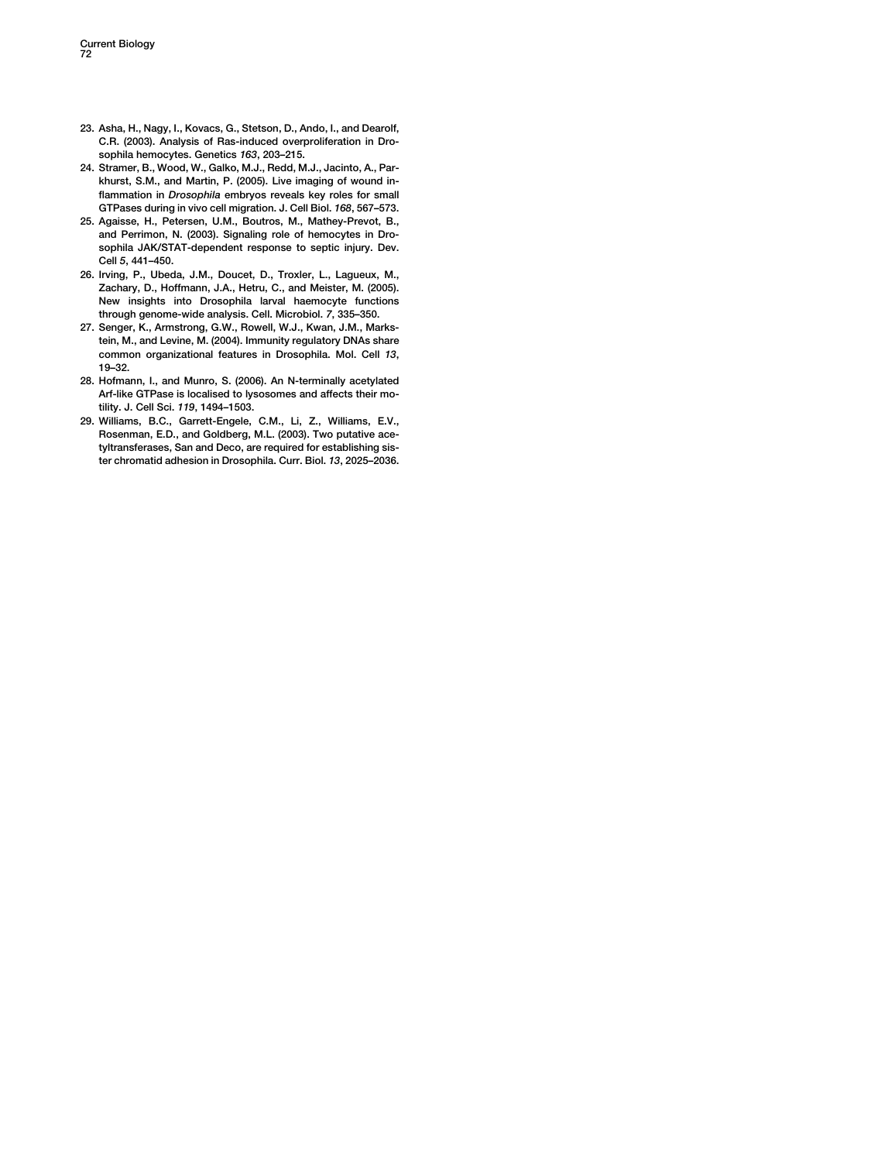- <span id="page-5-0"></span>23. Asha, H., Nagy, I., Kovacs, G., Stetson, D., Ando, I., and Dearolf, C.R. (2003). Analysis of Ras-induced overproliferation in Drosophila hemocytes. Genetics 163, 203–215.
- 24. Stramer, B., Wood, W., Galko, M.J., Redd, M.J., Jacinto, A., Parkhurst, S.M., and Martin, P. (2005). Live imaging of wound inflammation in Drosophila embryos reveals key roles for small GTPases during in vivo cell migration. J. Cell Biol. 168, 567–573.
- 25. Agaisse, H., Petersen, U.M., Boutros, M., Mathey-Prevot, B., and Perrimon, N. (2003). Signaling role of hemocytes in Drosophila JAK/STAT-dependent response to septic injury. Dev. Cell 5, 441–450.
- 26. Irving, P., Ubeda, J.M., Doucet, D., Troxler, L., Lagueux, M., Zachary, D., Hoffmann, J.A., Hetru, C., and Meister, M. (2005). New insights into Drosophila larval haemocyte functions through genome-wide analysis. Cell. Microbiol. 7, 335–350.
- 27. Senger, K., Armstrong, G.W., Rowell, W.J., Kwan, J.M., Markstein, M., and Levine, M. (2004). Immunity regulatory DNAs share common organizational features in Drosophila. Mol. Cell 13, 19–32.
- 28. Hofmann, I., and Munro, S. (2006). An N-terminally acetylated Arf-like GTPase is localised to lysosomes and affects their motility. J. Cell Sci. 119, 1494–1503.
- 29. Williams, B.C., Garrett-Engele, C.M., Li, Z., Williams, E.V., Rosenman, E.D., and Goldberg, M.L. (2003). Two putative acetyltransferases, San and Deco, are required for establishing sister chromatid adhesion in Drosophila. Curr. Biol. 13, 2025–2036.